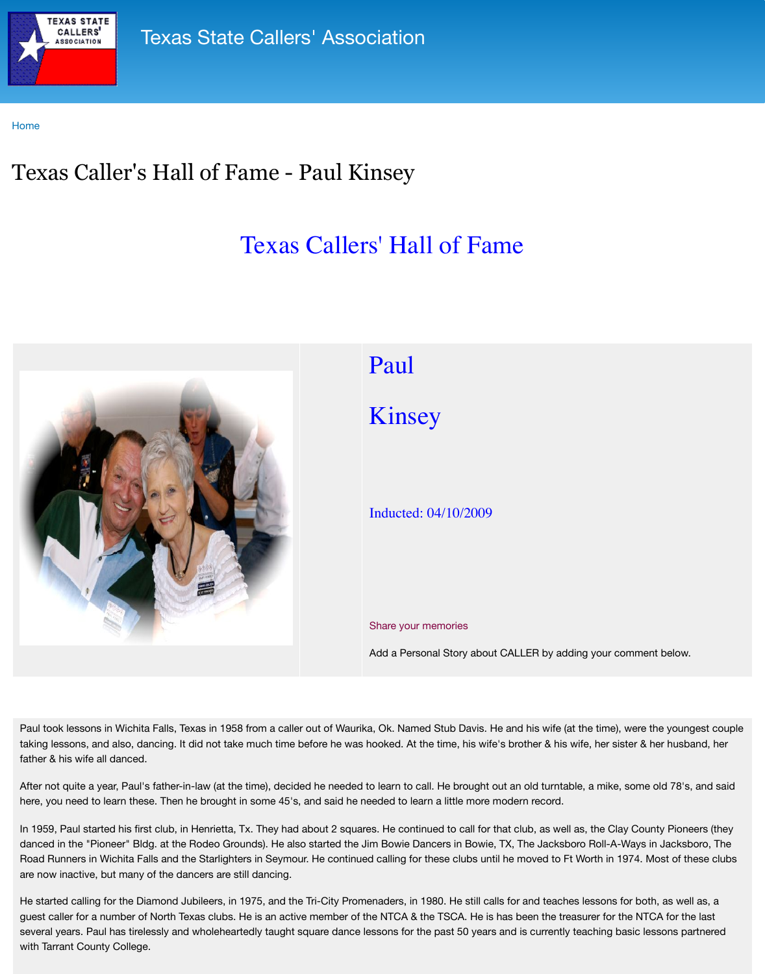

## [Paul](http://www.txcallers.com/)

## Kinsey

Inducted: 04/10/2009

Share your memories

Add a Personal Story abo

Paul took lessons in Wichita Falls, Texas in 1958 from a caller out of Waurika, Ok. Named Stub Davis. taking lessons, and also, dancing. It did not take much time before he was hooked. At the time, his w father & his wife all danced.

After not quite a year, Paul's father-in-law (at the time), decided he needed to learn to call. He brought here, you need to learn these. Then he brought in some 45's, and said he needed to learn a little more

In 1959, Paul started his first club, in Henrietta, Tx. They had about 2 squares. He continued to call for danced in the "Pioneer" Bldg. at the Rodeo Grounds). He also started the Jim Bowie Dancers in Bowi Road Runners in Wichita Falls and the Starlighters in Seymour. He continued calling for these clubs u are now inactive, but many of the dancers are still dancing.

He started calling for the Diamond Jubileers, in 1975, and the Tri-City Promenaders, in 1980. He still calls for guest caller for a number of North Texas clubs. He is an active member of the NTCA & the TSCA. He is several years. Paul has tirelessly and wholeheartedly taught square dance lessons for the past 50 yea with Tarrant County College.